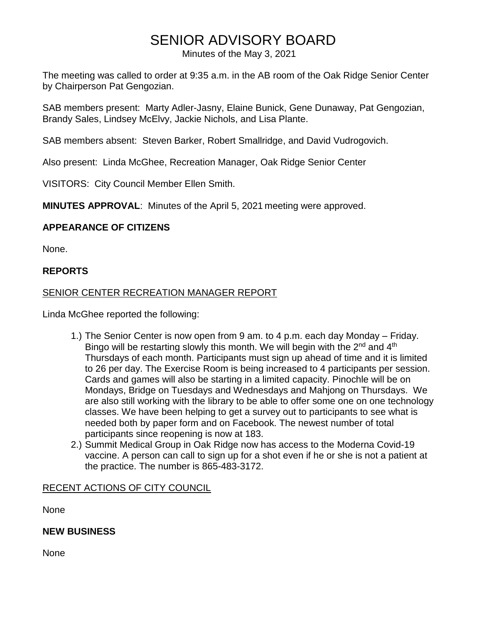# SENIOR ADVISORY BOARD

Minutes of the May 3, 2021

The meeting was called to order at 9:35 a.m. in the AB room of the Oak Ridge Senior Center by Chairperson Pat Gengozian.

SAB members present: Marty Adler-Jasny, Elaine Bunick, Gene Dunaway, Pat Gengozian, Brandy Sales, Lindsey McElvy, Jackie Nichols, and Lisa Plante.

SAB members absent: Steven Barker, Robert Smallridge, and David Vudrogovich.

Also present: Linda McGhee, Recreation Manager, Oak Ridge Senior Center

VISITORS: City Council Member Ellen Smith.

**MINUTES APPROVAL**: Minutes of the April 5, 2021 meeting were approved.

# **APPEARANCE OF CITIZENS**

None.

## **REPORTS**

## SENIOR CENTER RECREATION MANAGER REPORT

Linda McGhee reported the following:

- 1.) The Senior Center is now open from 9 am. to 4 p.m. each day Monday Friday. Bingo will be restarting slowly this month. We will begin with the 2<sup>nd</sup> and 4<sup>th</sup> Thursdays of each month. Participants must sign up ahead of time and it is limited to 26 per day. The Exercise Room is being increased to 4 participants per session. Cards and games will also be starting in a limited capacity. Pinochle will be on Mondays, Bridge on Tuesdays and Wednesdays and Mahjong on Thursdays. We are also still working with the library to be able to offer some one on one technology classes. We have been helping to get a survey out to participants to see what is needed both by paper form and on Facebook. The newest number of total participants since reopening is now at 183.
- 2.) Summit Medical Group in Oak Ridge now has access to the Moderna Covid-19 vaccine. A person can call to sign up for a shot even if he or she is not a patient at the practice. The number is 865-483-3172.

## RECENT ACTIONS OF CITY COUNCIL

None

**NEW BUSINESS**

None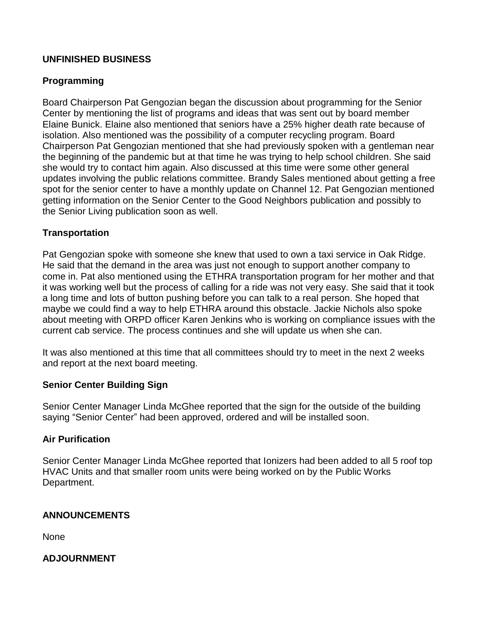# **UNFINISHED BUSINESS**

# **Programming**

Board Chairperson Pat Gengozian began the discussion about programming for the Senior Center by mentioning the list of programs and ideas that was sent out by board member Elaine Bunick. Elaine also mentioned that seniors have a 25% higher death rate because of isolation. Also mentioned was the possibility of a computer recycling program. Board Chairperson Pat Gengozian mentioned that she had previously spoken with a gentleman near the beginning of the pandemic but at that time he was trying to help school children. She said she would try to contact him again. Also discussed at this time were some other general updates involving the public relations committee. Brandy Sales mentioned about getting a free spot for the senior center to have a monthly update on Channel 12. Pat Gengozian mentioned getting information on the Senior Center to the Good Neighbors publication and possibly to the Senior Living publication soon as well.

# **Transportation**

Pat Gengozian spoke with someone she knew that used to own a taxi service in Oak Ridge. He said that the demand in the area was just not enough to support another company to come in. Pat also mentioned using the ETHRA transportation program for her mother and that it was working well but the process of calling for a ride was not very easy. She said that it took a long time and lots of button pushing before you can talk to a real person. She hoped that maybe we could find a way to help ETHRA around this obstacle. Jackie Nichols also spoke about meeting with ORPD officer Karen Jenkins who is working on compliance issues with the current cab service. The process continues and she will update us when she can.

It was also mentioned at this time that all committees should try to meet in the next 2 weeks and report at the next board meeting.

## **Senior Center Building Sign**

Senior Center Manager Linda McGhee reported that the sign for the outside of the building saying "Senior Center" had been approved, ordered and will be installed soon.

## **Air Purification**

Senior Center Manager Linda McGhee reported that Ionizers had been added to all 5 roof top HVAC Units and that smaller room units were being worked on by the Public Works Department.

#### **ANNOUNCEMENTS**

None

#### **ADJOURNMENT**